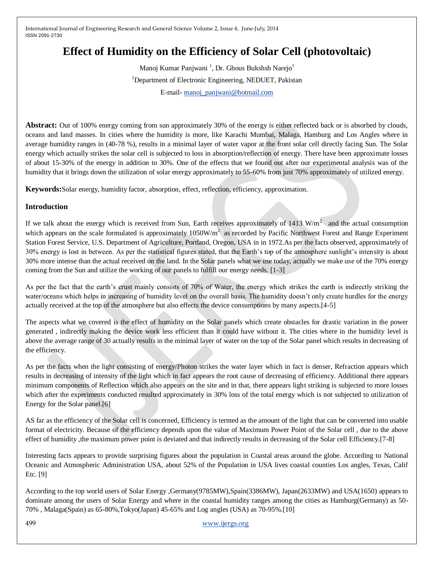# **Effect of Humidity on the Efficiency of Solar Cell (photovoltaic)**

Manoj Kumar Panjwani<sup>1</sup>, Dr. Ghous Bukshsh Narejo<sup>1</sup> <sup>1</sup>Department of Electronic Engineering, NEDUET, Pakistan E-mail- [manoj\\_panjwani@hotmail.com](mailto:manoj_panjwani@hotmail.com)

**Abstract:** Out of 100% energy coming from sun approximately 30% of the energy is either reflected back or is absorbed by clouds, oceans and land masses. In cities where the humidity is more, like Karachi Mumbai, Malaga, Hamburg and Los Angles where in average humidity ranges in (40-78 %), results in a minimal layer of water vapor at the front solar cell directly facing Sun. The Solar energy which actually strikes the solar cell is subjected to loss in absorption/reflection of energy. There have been approximate losses of about 15-30% of the energy in addition to 30%. One of the effects that we found out after our experimental analysis was of the humidity that it brings down the utilization of solar energy approximately to 55-60% from just 70% approximately of utilized energy.

**Keywords:**Solar energy, humidity factor, absorption, effect, reflection, efficiency, approximation.

### **Introduction**

If we talk about the energy which is received from Sun, Earth receives approximately of 1413 W/m<sup>2</sup> and the actual consumption which appears on the scale formulated is approximately  $1050W/m^2$  as recorded by Pacific Northwest Forest and Range Experiment Station Forest Service, U.S. Department of Agriculture, Portland, Oregon, USA in in 1972.As per the facts observed, approximately of 30% energy is lost in between. As per the statistical figures stated, that the Earth's top of the atmosphere sunlight's intensity is about 30% more intense than the actual received on the land. In the Solar panels what we use today, actually we make use of the 70% energy coming from the Sun and utilize the working of our panels to fulfill our energy needs. [1-3]

As per the fact that the earth's crust mainly consists of 70% of Water, the energy which strikes the earth is indirectly striking the water/oceans which helps in increasing of humidity level on the overall basis. The humidity doesn't only create hurdles for the energy actually received at the top of the atmosphere but also effects the device consumptions by many aspects.[4-5]

The aspects what we covered is the effect of humidity on the Solar panels which create obstacles for drastic variation in the power generated , indirectly making the device work less efficient than it could have without it. The cities where in the humidity level is above the average range of 30 actually results in the minimal layer of water on the top of the Solar panel which results in decreasing of the efficiency.

As per the facts when the light consisting of energy/Photon strikes the water layer which in fact is denser, Refraction appears which results in decreasing of intensity of the light which in fact appears the root cause of decreasing of efficiency. Additional there appears minimum components of Reflection which also appears on the site and in that, there appears light striking is subjected to more losses which after the experiments conducted resulted approximately in 30% loss of the total energy which is not subjected to utilization of Energy for the Solar panel.[6]

AS far as the efficiency of the Solar cell is concerned, Efficiency is termed as the amount of the light that can be converted into usable format of electricity. Because of the efficiency depends upon the value of Maximum Power Point of the Solar cell , due to the above effect of humidity , the maximum power point is deviated and that indirectly results in decreasing of the Solar cell Efficiency. [7-8]

Interesting facts appears to provide surprising figures about the population in Coastal areas around the globe. According to National Oceanic and Atmospheric Administration USA, about 52% of the Population in USA lives coastal counties Los angles, Texas, Calif Etc. [9]

According to the top world users of Solar Energy ,Germany(9785MW),Spain(3386MW), Japan(2633MW) and USA(1650) appears to dominate among the users of Solar Energy and where in the coastal humidity ranges among the cities as Hamburg(Germany) as 50- 70% , Malaga(Spain) as 65-80%,Tokyo(Japan) 45-65% and Log angles (USA) as 70-95%.[10]

499 [www.ijergs.org](http://www.ijergs.org/)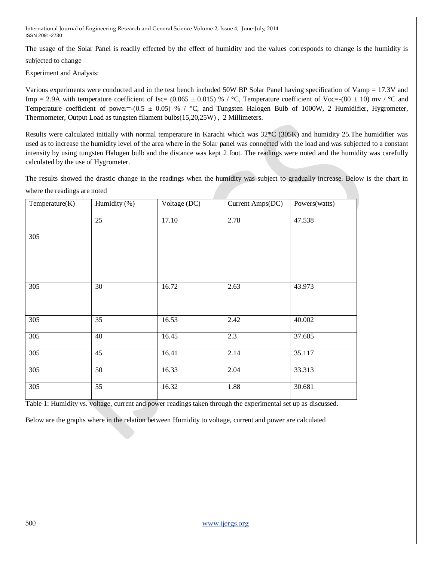The usage of the Solar Panel is readily effected by the effect of humidity and the values corresponds to change is the humidity is

subjected to change

Experiment and Analysis:

Various experiments were conducted and in the test bench included 50W BP Solar Panel having specification of Vamp = 17.3V and Imp = 2.9A with temperature coefficient of Isc=  $(0.065 \pm 0.015)$  % / °C, Temperature coefficient of Voc= $-(80 \pm 10)$  mv / °C and Temperature coefficient of power=-(0.5  $\pm$  0.05) % / °C, and Tungsten Halogen Bulb of 1000W, 2 Humidifier, Hygrometer, Thermometer, Output Load as tungsten filament bulbs(15,20,25W) , 2 Millimeters.

Results were calculated initially with normal temperature in Karachi which was 32\*C (305K) and humidity 25.The humidifier was used as to increase the humidity level of the area where in the Solar panel was connected with the load and was subjected to a constant intensity by using tungsten Halogen bulb and the distance was kept 2 foot. The readings were noted and the humidity was carefully calculated by the use of Hygrometer.

The results showed the drastic change in the readings when the humidity was subject to gradually increase. Below is the chart in where the readings are noted

| Temperature(K)   | Humidity (%)    | Voltage (DC) | Current Amps(DC) | Powers(watts) |
|------------------|-----------------|--------------|------------------|---------------|
|                  | $\overline{25}$ | 17.10        | 2.78             | 47.538        |
| 305              |                 |              |                  |               |
|                  |                 |              |                  |               |
|                  |                 |              |                  |               |
| $\overline{305}$ | 30              | 16.72        | 2.63             | 43.973        |
|                  |                 |              |                  |               |
| 305              | 35              | 16.53        | 2.42             | 40.002        |
| $\overline{305}$ | 40              | 16.45        | 2.3              | 37.605        |
| 305              | 45              | 16.41        | 2.14             | 35.117        |
| 305              | $\overline{50}$ | 16.33        | 2.04             | 33.313        |
| 305              | 55              | 16.32        | 1.88             | 30.681        |

Table 1: Humidity vs. voltage, current and power readings taken through the experimental set up as discussed.

Below are the graphs where in the relation between Humidity to voltage, current and power are calculated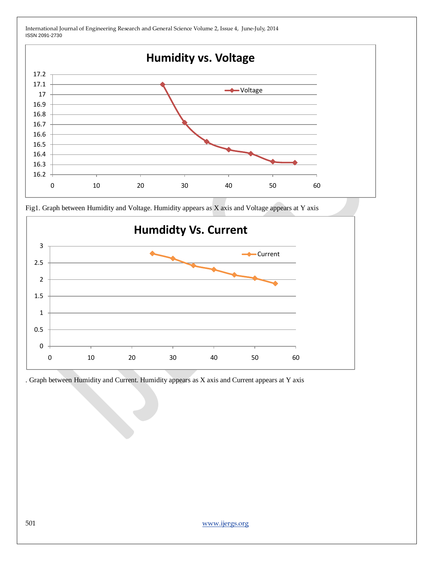

Fig1. Graph between Humidity and Voltage. Humidity appears as X axis and Voltage appears at Y axis



. Graph between Humidity and Current. Humidity appears as X axis and Current appears at Y axis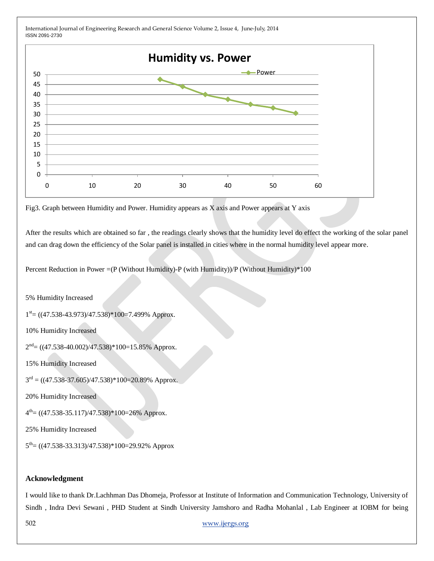

Fig3. Graph between Humidity and Power. Humidity appears as X axis and Power appears at Y axis

After the results which are obtained so far , the readings clearly shows that the humidity level do effect the working of the solar panel and can drag down the efficiency of the Solar panel is installed in cities where in the normal humidity level appear more.

Percent Reduction in Power =(P (Without Humidity)-P (with Humidity))/P (Without Humidity)\*100

5% Humidity Increased

 $1<sup>st</sup> = ((47.538-43.973)/47.538)*100=7.499%$  Approx.

10% Humidity Increased

 $2<sup>nd</sup> = ((47.538-40.002)/47.538)*100=15.85%$  Approx.

15% Humidity Increased

 $3<sup>rd</sup> = ((47.538-37.605)/47.538)*100=20.89%$  Approx.

20% Humidity Increased

 $4^{th}$  = ((47.538-35.117)/47.538)\*100=26% Approx.

25% Humidity Increased

 $5^{th}$  = ((47.538-33.313)/47.538)\*100=29.92% Approx

#### **Acknowledgment**

I would like to thank Dr.Lachhman Das Dhomeja, Professor at Institute of Information and Communication Technology, University of Sindh , Indra Devi Sewani , PHD Student at Sindh University Jamshoro and Radha Mohanlal , Lab Engineer at IOBM for being

502 [www.ijergs.org](http://www.ijergs.org/)